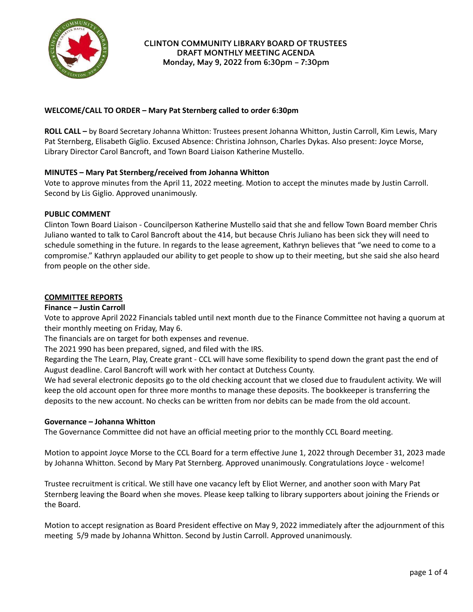

## **WELCOME/CALL TO ORDER – Mary Pat Sternberg called to order 6:30pm**

**ROLL CALL –** by Board Secretary Johanna Whitton: Trustees present Johanna Whitton, Justin Carroll, Kim Lewis, Mary Pat Sternberg, Elisabeth Giglio. Excused Absence: Christina Johnson, Charles Dykas. Also present: Joyce Morse, Library Director Carol Bancroft, and Town Board Liaison Katherine Mustello.

# **MINUTES – Mary Pat Sternberg/received from Johanna Whitton**

Vote to approve minutes from the April 11, 2022 meeting. Motion to accept the minutes made by Justin Carroll. Second by Lis Giglio. Approved unanimously.

### **PUBLIC COMMENT**

Clinton Town Board Liaison - Councilperson Katherine Mustello said that she and fellow Town Board member Chris Juliano wanted to talk to Carol Bancroft about the 414, but because Chris Juliano has been sick they will need to schedule something in the future. In regards to the lease agreement, Kathryn believes that "we need to come to a compromise." Kathryn applauded our ability to get people to show up to their meeting, but she said she also heard from people on the other side.

### **COMMITTEE REPORTS**

### **Finance – Justin Carroll**

Vote to approve April 2022 Financials tabled until next month due to the Finance Committee not having a quorum at their monthly meeting on Friday, May 6.

The financials are on target for both expenses and revenue.

The 2021 990 has been prepared, signed, and filed with the IRS.

Regarding the The Learn, Play, Create grant - CCL will have some flexibility to spend down the grant past the end of August deadline. Carol Bancroft will work with her contact at Dutchess County.

We had several electronic deposits go to the old checking account that we closed due to fraudulent activity. We will keep the old account open for three more months to manage these deposits. The bookkeeper is transferring the deposits to the new account. No checks can be written from nor debits can be made from the old account.

### **Governance – Johanna Whitton**

The Governance Committee did not have an official meeting prior to the monthly CCL Board meeting.

Motion to appoint Joyce Morse to the CCL Board for a term effective June 1, 2022 through December 31, 2023 made by Johanna Whitton. Second by Mary Pat Sternberg. Approved unanimously. Congratulations Joyce - welcome!

Trustee recruitment is critical. We still have one vacancy left by Eliot Werner, and another soon with Mary Pat Sternberg leaving the Board when she moves. Please keep talking to library supporters about joining the Friends or the Board.

Motion to accept resignation as Board President effective on May 9, 2022 immediately after the adjournment of this meeting 5/9 made by Johanna Whitton. Second by Justin Carroll. Approved unanimously.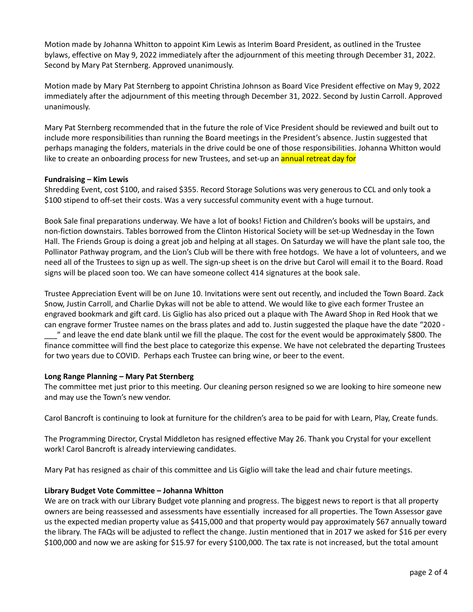Motion made by Johanna Whitton to appoint Kim Lewis as Interim Board President, as outlined in the Trustee bylaws, effective on May 9, 2022 immediately after the adjournment of this meeting through December 31, 2022. Second by Mary Pat Sternberg. Approved unanimously.

Motion made by Mary Pat Sternberg to appoint Christina Johnson as Board Vice President effective on May 9, 2022 immediately after the adjournment of this meeting through December 31, 2022. Second by Justin Carroll. Approved unanimously.

Mary Pat Sternberg recommended that in the future the role of Vice President should be reviewed and built out to include more responsibilities than running the Board meetings in the President's absence. Justin suggested that perhaps managing the folders, materials in the drive could be one of those responsibilities. Johanna Whitton would like to create an onboarding process for new Trustees, and set-up an **annual retreat day for** 

### **Fundraising – Kim Lewis**

Shredding Event, cost \$100, and raised \$355. Record Storage Solutions was very generous to CCL and only took a \$100 stipend to off-set their costs. Was a very successful community event with a huge turnout.

Book Sale final preparations underway. We have a lot of books! Fiction and Children's books will be upstairs, and non-fiction downstairs. Tables borrowed from the Clinton Historical Society will be set-up Wednesday in the Town Hall. The Friends Group is doing a great job and helping at all stages. On Saturday we will have the plant sale too, the Pollinator Pathway program, and the Lion's Club will be there with free hotdogs. We have a lot of volunteers, and we need all of the Trustees to sign up as well. The sign-up sheet is on the drive but Carol will email it to the Board. Road signs will be placed soon too. We can have someone collect 414 signatures at the book sale.

Trustee Appreciation Event will be on June 10. Invitations were sent out recently, and included the Town Board. Zack Snow, Justin Carroll, and Charlie Dykas will not be able to attend. We would like to give each former Trustee an engraved bookmark and gift card. Lis Giglio has also priced out a plaque with The Award Shop in Red Hook that we can engrave former Trustee names on the brass plates and add to. Justin suggested the plaque have the date "2020 - \_\_\_" and leave the end date blank until we fill the plaque. The cost for the event would be approximately \$800. The finance committee will find the best place to categorize this expense. We have not celebrated the departing Trustees for two years due to COVID. Perhaps each Trustee can bring wine, or beer to the event.

### **Long Range Planning – Mary Pat Sternberg**

The committee met just prior to this meeting. Our cleaning person resigned so we are looking to hire someone new and may use the Town's new vendor.

Carol Bancroft is continuing to look at furniture for the children's area to be paid for with Learn, Play, Create funds.

The Programming Director, Crystal Middleton has resigned effective May 26. Thank you Crystal for your excellent work! Carol Bancroft is already interviewing candidates.

Mary Pat has resigned as chair of this committee and Lis Giglio will take the lead and chair future meetings.

### **Library Budget Vote Committee – Johanna Whitton**

We are on track with our Library Budget vote planning and progress. The biggest news to report is that all property owners are being reassessed and assessments have essentially increased for all properties. The Town Assessor gave us the expected median property value as \$415,000 and that property would pay approximately \$67 annually toward the library. The FAQs will be adjusted to reflect the change. Justin mentioned that in 2017 we asked for \$16 per every \$100,000 and now we are asking for \$15.97 for every \$100,000. The tax rate is not increased, but the total amount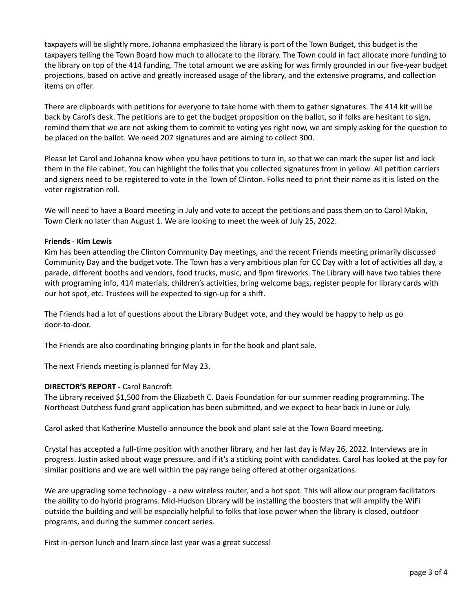taxpayers will be slightly more. Johanna emphasized the library is part of the Town Budget, this budget is the taxpayers telling the Town Board how much to allocate to the library. The Town could in fact allocate more funding to the library on top of the 414 funding. The total amount we are asking for was firmly grounded in our five-year budget projections, based on active and greatly increased usage of the library, and the extensive programs, and collection items on offer.

There are clipboards with petitions for everyone to take home with them to gather signatures. The 414 kit will be back by Carol's desk. The petitions are to get the budget proposition on the ballot, so if folks are hesitant to sign, remind them that we are not asking them to commit to voting yes right now, we are simply asking for the question to be placed on the ballot. We need 207 signatures and are aiming to collect 300.

Please let Carol and Johanna know when you have petitions to turn in, so that we can mark the super list and lock them in the file cabinet. You can highlight the folks that you collected signatures from in yellow. All petition carriers and signers need to be registered to vote in the Town of Clinton. Folks need to print their name as it is listed on the voter registration roll.

We will need to have a Board meeting in July and vote to accept the petitions and pass them on to Carol Makin, Town Clerk no later than August 1. We are looking to meet the week of July 25, 2022.

### **Friends - Kim Lewis**

Kim has been attending the Clinton Community Day meetings, and the recent Friends meeting primarily discussed Community Day and the budget vote. The Town has a very ambitious plan for CC Day with a lot of activities all day, a parade, different booths and vendors, food trucks, music, and 9pm fireworks. The Library will have two tables there with programing info, 414 materials, children's activities, bring welcome bags, register people for library cards with our hot spot, etc. Trustees will be expected to sign-up for a shift.

The Friends had a lot of questions about the Library Budget vote, and they would be happy to help us go door-to-door.

The Friends are also coordinating bringing plants in for the book and plant sale.

The next Friends meeting is planned for May 23.

### **DIRECTOR'S REPORT -** Carol Bancroft

The Library received \$1,500 from the Elizabeth C. Davis Foundation for our summer reading programming. The Northeast Dutchess fund grant application has been submitted, and we expect to hear back in June or July.

Carol asked that Katherine Mustello announce the book and plant sale at the Town Board meeting.

Crystal has accepted a full-time position with another library, and her last day is May 26, 2022. Interviews are in progress. Justin asked about wage pressure, and if it's a sticking point with candidates. Carol has looked at the pay for similar positions and we are well within the pay range being offered at other organizations.

We are upgrading some technology - a new wireless router, and a hot spot. This will allow our program facilitators the ability to do hybrid programs. Mid-Hudson Library will be installing the boosters that will amplify the WiFi outside the building and will be especially helpful to folks that lose power when the library is closed, outdoor programs, and during the summer concert series.

First in-person lunch and learn since last year was a great success!